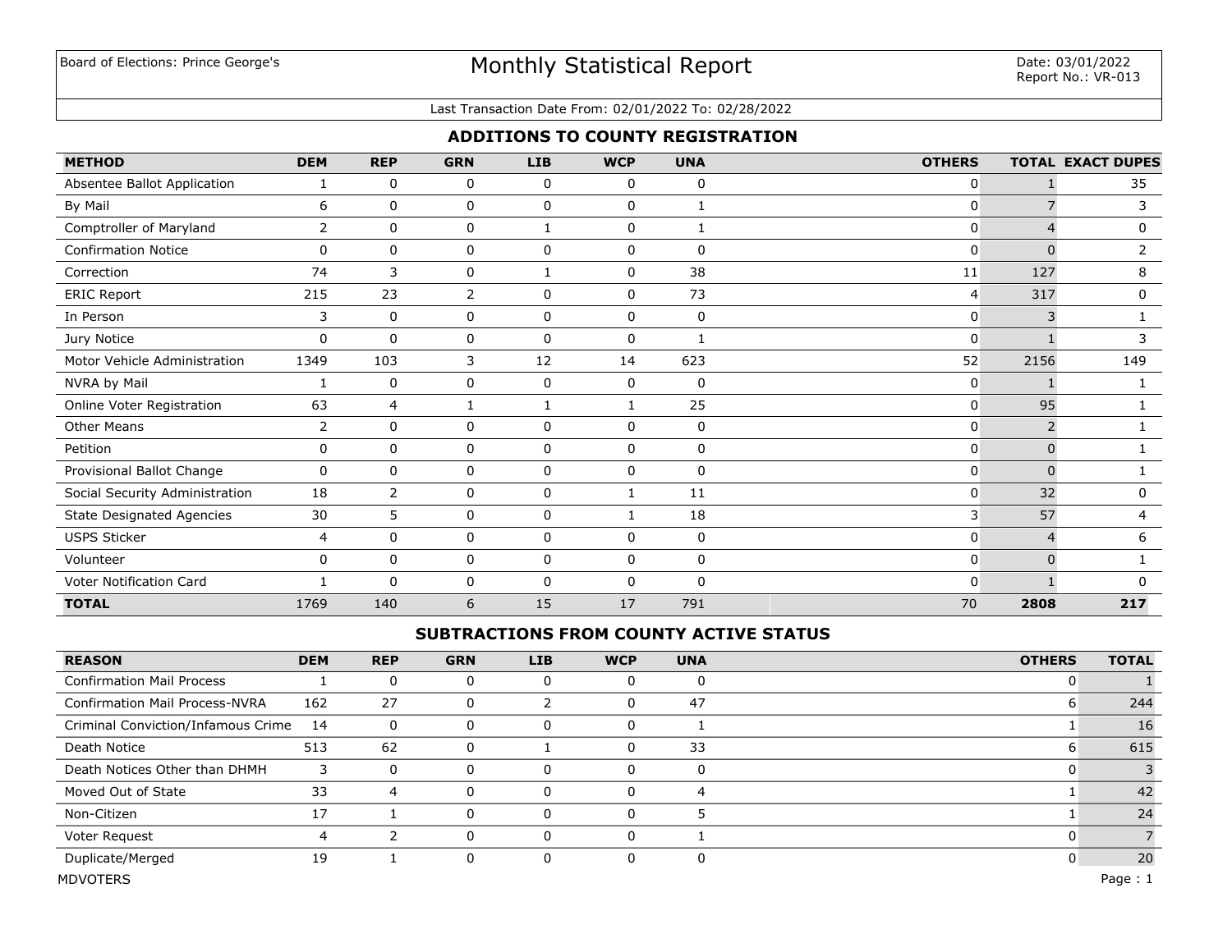## Board of Elections: Prince George's **Exercise Exercise Statistical Report** Date: 03/01/2022<br>Pepert No : VP-01

#### Last Transaction Date From: 02/01/2022 To: 02/28/2022

## **ADDITIONS TO COUNTY REGISTRATION**

| <b>METHOD</b>                    | <b>DEM</b>   | <b>REP</b>     | <b>GRN</b> | <b>LIB</b>   | <b>WCP</b>   | <b>UNA</b>   | <b>OTHERS</b> |          | <b>TOTAL EXACT DUPES</b> |
|----------------------------------|--------------|----------------|------------|--------------|--------------|--------------|---------------|----------|--------------------------|
| Absentee Ballot Application      |              | 0              | 0          | 0            | 0            | 0            | 0             |          | 35                       |
| By Mail                          | 6            | 0              | 0          | 0            | $\mathbf{0}$ | $\mathbf{1}$ | 0             |          | 3                        |
| Comptroller of Maryland          | 2            | 0              | 0          | $\mathbf{1}$ | 0            | $\mathbf{1}$ | 0             |          | 0                        |
| <b>Confirmation Notice</b>       | $\mathbf 0$  | $\mathbf 0$    | 0          | $\mathbf 0$  | $\mathbf 0$  | 0            | 0             | $\Omega$ | $\overline{2}$           |
| Correction                       | 74           | 3              | 0          | 1            | 0            | 38           | 11            | 127      | 8                        |
| <b>ERIC Report</b>               | 215          | 23             | 2          | $\mathbf 0$  | 0            | 73           | 4             | 317      | 0                        |
| In Person                        | 3            | 0              | 0          | 0            | 0            | 0            | 0             | 3        |                          |
| Jury Notice                      | $\Omega$     | $\mathbf 0$    | 0          | $\mathbf 0$  | $\mathbf 0$  | $\mathbf{1}$ | 0             |          | 3                        |
| Motor Vehicle Administration     | 1349         | 103            | 3          | 12           | 14           | 623          | 52            | 2156     | 149                      |
| NVRA by Mail                     |              | 0              | 0          | 0            | 0            | 0            | 0             |          |                          |
| Online Voter Registration        | 63           | $\overline{4}$ | 1          |              |              | 25           | 0             | 95       |                          |
| <b>Other Means</b>               | 2            | 0              | 0          | $\mathbf 0$  | $\mathbf{0}$ | 0            | 0             | 2        |                          |
| Petition                         | 0            | $\mathbf 0$    | 0          | $\mathbf 0$  | 0            | 0            | 0             | $\Omega$ |                          |
| Provisional Ballot Change        | 0            | $\mathbf{0}$   | 0          | 0            | 0            | 0            | 0             | $\Omega$ |                          |
| Social Security Administration   | 18           | $\overline{2}$ | 0          | $\mathbf 0$  |              | 11           | 0             | 32       | 0                        |
| <b>State Designated Agencies</b> | 30           | 5              | 0          | 0            | 1            | 18           | 3             | 57       | 4                        |
| <b>USPS Sticker</b>              | 4            | 0              | 0          | $\mathbf 0$  | 0            | 0            | 0             | 4        | 6                        |
| Volunteer                        | 0            | $\mathbf 0$    | 0          | $\mathbf 0$  | $\mathbf 0$  | $\mathbf 0$  | 0             | $\Omega$ |                          |
| Voter Notification Card          | $\mathbf{1}$ | $\mathbf{0}$   | 0          | 0            | $\mathbf{0}$ | 0            | $\Omega$      |          | <sup>n</sup>             |
| <b>TOTAL</b>                     | 1769         | 140            | 6          | 15           | 17           | 791          | 70            | 2808     | 217                      |

## **SUBTRACTIONS FROM COUNTY ACTIVE STATUS**

| <b>REASON</b>                         | <b>DEM</b> | <b>REP</b> | <b>GRN</b> | <b>LIB</b> | <b>WCP</b> | <b>UNA</b> | <b>OTHERS</b> | <b>TOTAL</b> |
|---------------------------------------|------------|------------|------------|------------|------------|------------|---------------|--------------|
| <b>Confirmation Mail Process</b>      |            | 0          |            |            |            | 0          |               |              |
| <b>Confirmation Mail Process-NVRA</b> | 162        | 27         | 0          |            |            | 47         | O             | 244          |
| Criminal Conviction/Infamous Crime    | - 14       | 0          |            |            |            |            |               | 16           |
| Death Notice                          | 513        | 62         |            |            |            | 33         |               | 615          |
| Death Notices Other than DHMH         |            | $\Omega$   |            | $\Omega$   |            | 0          |               |              |
| Moved Out of State                    | 33         | 4          |            | 0          |            | 4          |               | 42           |
| Non-Citizen                           | 17         |            |            |            |            |            |               | 24           |
| Voter Request                         |            |            |            | O          |            |            |               |              |
| Duplicate/Merged                      | 19         |            | 0          | O          |            | 0          |               | 20           |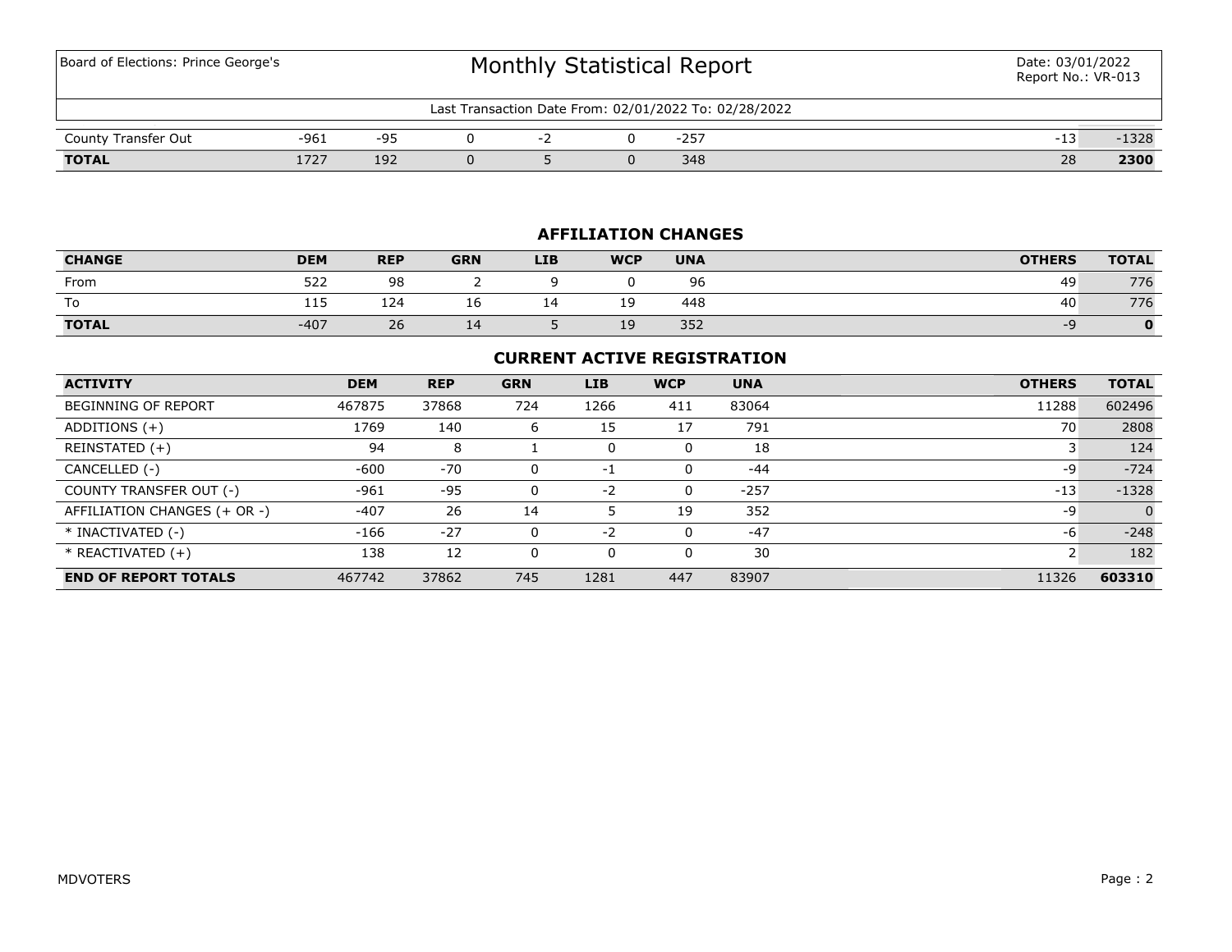# Board of Elections: Prince George's **Exercise Exercise Statistical Report** Date: 03/01/2022<br>Pepert No : VP-01

| t Transaction Date From: 02/01/2022 To: 02/28/2022<br>$Last-$ |      |     |  |  |  |        |  |    |      |  |
|---------------------------------------------------------------|------|-----|--|--|--|--------|--|----|------|--|
| County Transfer Out                                           | -961 | -95 |  |  |  | $-257$ |  | -- | 1328 |  |
| <b>TOTAL</b>                                                  | フつつ  | 192 |  |  |  | 348    |  | 28 | 2300 |  |

## **AFFILIATION CHANGES**

| <b>CHANGE</b> | <b>DEM</b> | <b>REP</b> | <b>GRN</b> | <b>LIB</b> | <b>WCP</b> | <b>UNA</b> | <b>OTHERS</b> | <b>TOTAL</b> |
|---------------|------------|------------|------------|------------|------------|------------|---------------|--------------|
| From          | 522        | 98         |            |            |            | 96         | 49            | 776          |
| To            | <b>++</b>  | 124        | Τp         |            | 19         | 448        | 40            | 776          |
| <b>TOTAL</b>  | $-407$     | 26         | 14         |            | 19         | 352        | --            |              |

### **CURRENT ACTIVE REGISTRATION**

| <b>ACTIVITY</b>              | <b>DEM</b> | <b>REP</b> | <b>GRN</b> | <b>LIB</b> | <b>WCP</b> | <b>UNA</b> | <b>OTHERS</b> | <b>TOTAL</b> |
|------------------------------|------------|------------|------------|------------|------------|------------|---------------|--------------|
| BEGINNING OF REPORT          | 467875     | 37868      | 724        | 1266       | 411        | 83064      | 11288         | 602496       |
| ADDITIONS (+)                | 1769       | 140        | 6          | 15         | 17         | 791        | 70            | 2808         |
| REINSTATED (+)               | 94         | 8          |            | 0          | 0          | 18         |               | 124          |
| CANCELLED (-)                | $-600$     | $-70$      |            | -1         | 0          | $-44$      | -9            | $-724$       |
| COUNTY TRANSFER OUT (-)      | $-961$     | -95        | 0          | $-2$       | 0          | $-257$     | $-13$         | $-1328$      |
| AFFILIATION CHANGES (+ OR -) | $-407$     | 26         | 14         |            | 19         | 352        | -9            | $\Omega$     |
| * INACTIVATED (-)            | $-166$     | $-27$      |            | $-2$       | $\Omega$   | $-47$      | -6            | $-248$       |
| $*$ REACTIVATED $(+)$        | 138        | 12         |            | 0          | 0          | 30         |               | 182          |
| <b>END OF REPORT TOTALS</b>  | 467742     | 37862      | 745        | 1281       | 447        | 83907      | 11326         | 603310       |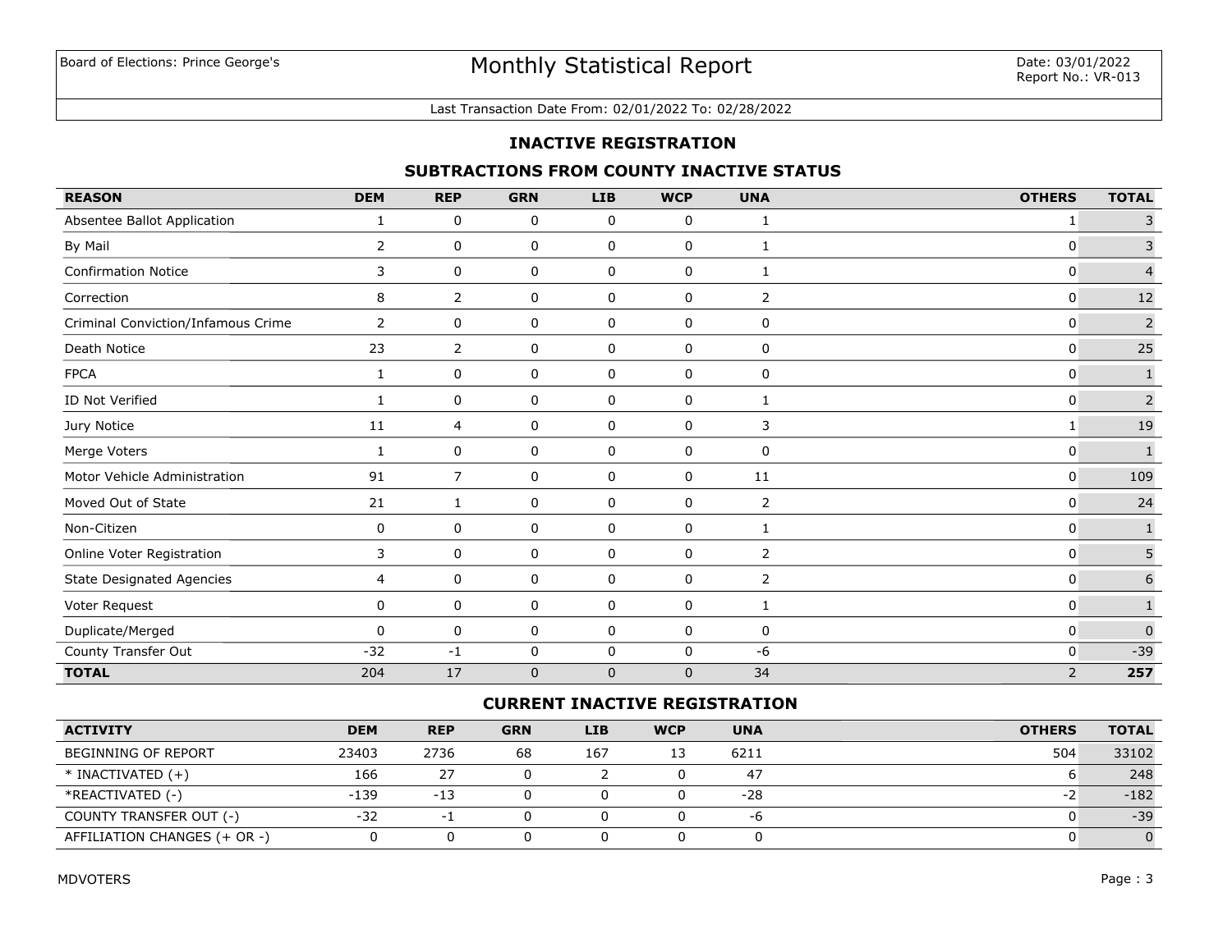#### Last Transaction Date From: 02/01/2022 To: 02/28/2022

#### **INACTIVE REGISTRATION**

## **SUBTRACTIONS FROM COUNTY INACTIVE STATUS**

| <b>REASON</b>                      | <b>DEM</b>     | <b>REP</b>     | <b>GRN</b>  | <b>LIB</b>  | <b>WCP</b>  | <b>UNA</b>     | <b>OTHERS</b>  | <b>TOTAL</b>     |
|------------------------------------|----------------|----------------|-------------|-------------|-------------|----------------|----------------|------------------|
| Absentee Ballot Application        | 1              | 0              | 0           | 0           | 0           | 1              | 1              | 3                |
| By Mail                            | $\overline{2}$ | 0              | 0           | 0           | 0           | 1              | 0              | $\overline{3}$   |
| <b>Confirmation Notice</b>         | 3              | 0              | 0           | 0           | 0           | 1              | $\mathbf 0$    | $\overline{4}$   |
| Correction                         | 8              | $\overline{2}$ | 0           | 0           | 0           | 2              | $\mathbf{0}$   | 12               |
| Criminal Conviction/Infamous Crime | $\overline{2}$ | 0              | 0           | 0           | $\mathbf 0$ | 0              | $\mathbf 0$    | $\mathsf{2}\,$   |
| Death Notice                       | 23             | 2              | 0           | 0           | $\mathbf 0$ | 0              | $\mathbf 0$    | 25               |
| <b>FPCA</b>                        | 1              | $\mathbf 0$    | 0           | 0           | 0           | 0              | $\mathbf 0$    | $\mathbf{1}$     |
| ID Not Verified                    | $\mathbf{1}$   | 0              | 0           | 0           | $\mathbf 0$ | 1              | $\mathbf 0$    | $\overline{2}$   |
| Jury Notice                        | 11             | $\overline{4}$ | 0           | 0           | 0           | 3              | 1              | 19               |
| Merge Voters                       | 1              | 0              | 0           | 0           | 0           | 0              | $\overline{0}$ | $\mathbf{1}$     |
| Motor Vehicle Administration       | 91             | $\overline{7}$ | 0           | 0           | 0           | 11             | $\mathbf 0$    | 109              |
| Moved Out of State                 | 21             | 1              | 0           | 0           | 0           | $\overline{2}$ | $\mathbf 0$    | 24               |
| Non-Citizen                        | 0              | 0              | 0           | 0           | 0           | 1              | 0              | $\mathbf 1$      |
| Online Voter Registration          | 3              | 0              | 0           | 0           | 0           | 2              | 0              | 5                |
| State Designated Agencies          | $\overline{4}$ | 0              | 0           | 0           | 0           | $\overline{2}$ | 0              | $\boldsymbol{6}$ |
| Voter Request                      | 0              | 0              | 0           | $\mathbf 0$ | 0           | 1              | $\mathbf{0}$   |                  |
| Duplicate/Merged                   | $\Omega$       | $\mathbf 0$    | 0           | 0           | 0           | 0              | $\mathbf 0$    | $\overline{0}$   |
| County Transfer Out                | $-32$          | $-1$           | 0           | $\mathbf 0$ | $\mathbf 0$ | $-6$           | $\mathbf 0$    | $-39$            |
| <b>TOTAL</b>                       | 204            | 17             | $\mathbf 0$ | $\mathbf 0$ | $\mathbf 0$ | 34             | $\overline{2}$ | 257              |

### **CURRENT INACTIVE REGISTRATION**

| <b>ACTIVITY</b>              | <b>DEM</b> | <b>REP</b>               | <b>GRN</b> | LIB. | <b>WCP</b> | <b>UNA</b> | <b>OTHERS</b> | <b>TOTAL</b> |
|------------------------------|------------|--------------------------|------------|------|------------|------------|---------------|--------------|
| <b>BEGINNING OF REPORT</b>   | 23403      | 2736                     | 68         | 167  | 13         | 6211       | 504           | 33102        |
| $*$ INACTIVATED $(+)$        | 166        | 27                       |            |      |            | 47         |               | 248          |
| *REACTIVATED (-)             | -139       | $-13$                    |            |      |            | $-28$      | -z            | $-182$       |
| COUNTY TRANSFER OUT (-)      | -32        | $\overline{\phantom{a}}$ |            |      |            | -6         |               | $-39$        |
| AFFILIATION CHANGES (+ OR -) |            |                          |            |      |            |            |               |              |